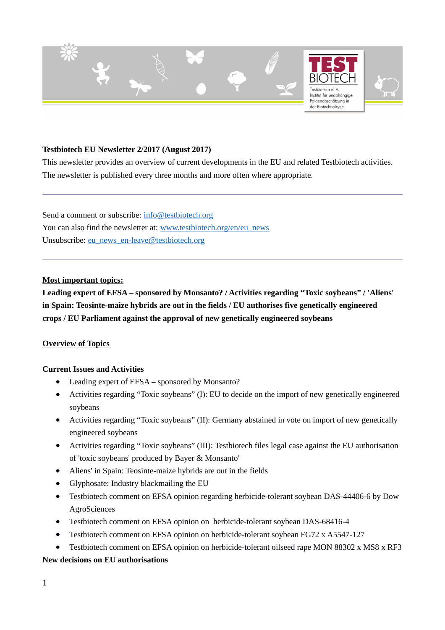

#### **Testbiotech EU Newsletter 2/2017 (August 2017)**

This newsletter provides an overview of current developments in the EU and related Testbiotech activities. The newsletter is published every three months and more often where appropriate.

Send a comment or subscribe: [info@testbiotech.org](mailto:info@testbiotech.org) You can also find the newsletter at: [www.testbiotech.org/en/eu\\_news](http://www.testbiotech.org/en/eu_news) Unsubscribe: [eu\\_news\\_en-leave@testbiotech.org](mailto:eu_news_en-leave@testbiotech.org)

#### **Most important topics:**

**Leading expert of EFSA – sponsored by Monsanto? / Activities regarding "Toxic soybeans" / 'Aliens' in Spain: Teosinte-maize hybrids are out in the fields / EU authorises five genetically engineered crops / EU Parliament against the approval of new genetically engineered soybeans**

## **Overview of Topics**

#### **Current Issues and Activities**

- Leading expert of EFSA sponsored by Monsanto?
- Activities regarding "Toxic soybeans" (I): EU to decide on the import of new genetically engineered soybeans
- Activities regarding "Toxic soybeans" (II): Germany abstained in vote on import of new genetically engineered soybeans
- Activities regarding "Toxic soybeans" (III): Testbiotech files legal case against the EU authorisation of 'toxic soybeans' produced by Bayer & Monsanto'
- Aliens' in Spain: Teosinte-maize hybrids are out in the fields
- Glyphosate: Industry blackmailing the EU
- Testbiotech comment on EFSA opinion regarding herbicide-tolerant soybean DAS-44406-6 by Dow AgroSciences
- Testbiotech comment on EFSA opinion on herbicide-tolerant soybean DAS-68416-4
- Testbiotech comment on EFSA opinion on herbicide-tolerant soybean FG72 x A5547-127
- Testbiotech comment on EFSA opinion on herbicide-tolerant oilseed rape MON 88302 x MS8 x RF3

#### **New decisions on EU authorisations**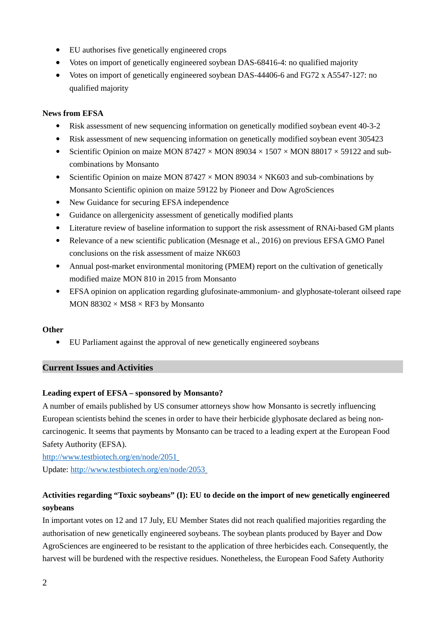- EU authorises five genetically engineered crops
- Votes on import of genetically engineered soybean DAS-68416-4: no qualified majority
- Votes on import of genetically engineered soybean DAS-44406-6 and FG72 x A5547-127: no qualified majority

## **News from EFSA**

- Risk assessment of new sequencing information on genetically modified soybean event 40-3-2
- Risk assessment of new sequencing information on genetically modified soybean event 305423
- Scientific Opinion on maize MON 87427  $\times$  MON 89034  $\times$  1507  $\times$  MON 88017  $\times$  59122 and subcombinations by Monsanto
- Scientific Opinion on maize MON 87427  $\times$  MON 89034  $\times$  NK603 and sub-combinations by Monsanto Scientific opinion on maize 59122 by Pioneer and Dow AgroSciences
- New Guidance for securing EFSA independence
- Guidance on allergenicity assessment of genetically modified plants
- Literature review of baseline information to support the risk assessment of RNAi-based GM plants
- Relevance of a new scientific publication (Mesnage et al., 2016) on previous EFSA GMO Panel conclusions on the risk assessment of maize NK603
- Annual post-market environmental monitoring (PMEM) report on the cultivation of genetically modified maize MON 810 in 2015 from Monsanto
- EFSA opinion on application regarding glufosinate-ammonium- and glyphosate-tolerant oilseed rape MON 88302  $\times$  MS8  $\times$  RF3 by Monsanto

## **Other**

EU Parliament against the approval of new genetically engineered soybeans

## **Current Issues and Activities**

## **Leading expert of EFSA – sponsored by Monsanto?**

A number of emails published by US consumer attorneys show how Monsanto is secretly influencing European scientists behind the scenes in order to have their herbicide glyphosate declared as being noncarcinogenic. It seems that payments by Monsanto can be traced to a leading expert at the European Food Safety Authority (EFSA).

<http://www.testbiotech.org/en/node/2051> Update:<http://www.testbiotech.org/en/node/2053>

## **Activities regarding "Toxic soybeans" (I): EU to decide on the import of new genetically engineered soybeans**

In important votes on 12 and 17 July, EU Member States did not reach qualified majorities regarding the authorisation of new genetically engineered soybeans. The soybean plants produced by Bayer and Dow AgroSciences are engineered to be resistant to the application of three herbicides each. Consequently, the harvest will be burdened with the respective residues. Nonetheless, the European Food Safety Authority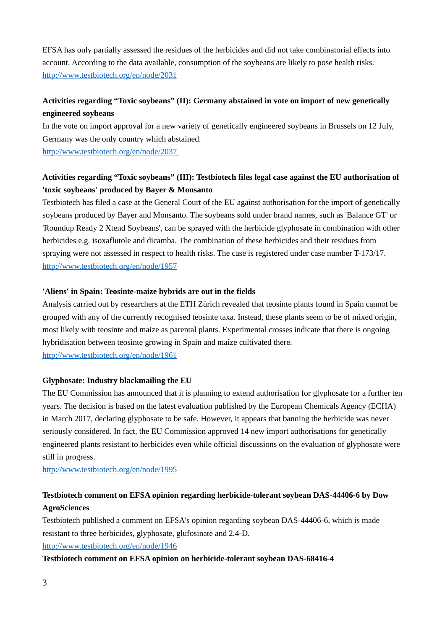EFSA has only partially assessed the residues of the herbicides and did not take combinatorial effects into account. According to the data available, consumption of the soybeans are likely to pose health risks. <http://www.testbiotech.org/en/node/2031>

## **Activities regarding "Toxic soybeans" (II): Germany abstained in vote on import of new genetically engineered soybeans**

In the vote on import approval for a new variety of genetically engineered soybeans in Brussels on 12 July, Germany was the only country which abstained.

<http://www.testbiotech.org/en/node/2037>

# **Activities regarding "Toxic soybeans" (III): Testbiotech files legal case against the EU authorisation of 'toxic soybeans' produced by Bayer & Monsanto**

Testbiotech has filed a case at the General Court of the EU against authorisation for the import of genetically soybeans produced by Bayer and Monsanto. The soybeans sold under brand names, such as 'Balance GT' or 'Roundup Ready 2 Xtend Soybeans', can be sprayed with the herbicide glyphosate in combination with other herbicides e.g. isoxaflutole and dicamba. The combination of these herbicides and their residues from spraying were not assessed in respect to health risks. The case is registered under case number T-173/17. <http://www.testbiotech.org/en/node/1957>

## **'Aliens' in Spain: Teosinte-maize hybrids are out in the fields**

Analysis carried out by researchers at the ETH Zürich revealed that teosinte plants found in Spain cannot be grouped with any of the currently recognised teosinte taxa. Instead, these plants seem to be of mixed origin, most likely with teosinte and maize as parental plants. Experimental crosses indicate that there is ongoing hybridisation between teosinte growing in Spain and maize cultivated there. <http://www.testbiotech.org/en/node/1961>

## **Glyphosate: Industry blackmailing the EU**

The EU Commission has announced that it is planning to extend authorisation for glyphosate for a further ten years. The decision is based on the latest evaluation published by the European Chemicals Agency (ECHA) in March 2017, declaring glyphosate to be safe. However, it appears that banning the herbicide was never seriously considered. In fact, the EU Commission approved 14 new import authorisations for genetically engineered plants resistant to herbicides even while official discussions on the evaluation of glyphosate were still in progress.

<http://www.testbiotech.org/en/node/1995>

# **Testbiotech comment on EFSA opinion regarding herbicide-tolerant soybean DAS-44406-6 by Dow AgroSciences**

Testbiotech published a comment on EFSA's opinion regarding soybean DAS-44406-6, which is made resistant to three herbicides, glyphosate, glufosinate and 2,4-D.

<http://www.testbiotech.org/en/node/1946>

## **Testbiotech comment on EFSA opinion on herbicide-tolerant soybean DAS-68416-4**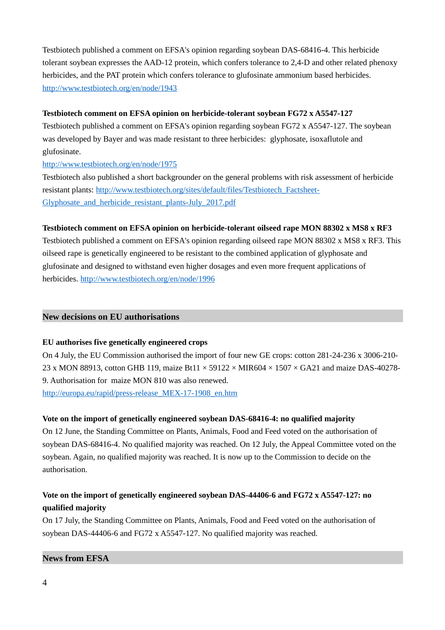Testbiotech published a comment on EFSA's opinion regarding soybean DAS-68416-4. This herbicide tolerant soybean expresses the AAD-12 protein, which confers tolerance to 2,4-D and other related phenoxy herbicides, and the PAT protein which confers tolerance to glufosinate ammonium based herbicides. <http://www.testbiotech.org/en/node/1943>

## **Testbiotech comment on EFSA opinion on herbicide-tolerant soybean FG72 x A5547-127**

Testbiotech published a comment on EFSA's opinion regarding soybean FG72 x A5547-127. The soybean was developed by Bayer and was made resistant to three herbicides: glyphosate, isoxaflutole and glufosinate.

#### <http://www.testbiotech.org/en/node/1975>

Testbiotech also published a short backgrounder on the general problems with risk assessment of herbicide resistant plants: [http://www.testbiotech.org/sites/default/files/Testbiotech\\_Factsheet-](http://www.testbiotech.org/sites/default/files/Testbiotech_Factsheet-Glyphosate_and_herbicide_resistant_plants-July_2017.pdf)Glyphosate and herbicide resistant plants-July 2017.pdf

## **Testbiotech comment on EFSA opinion on herbicide-tolerant oilseed rape MON 88302 x MS8 x RF3**

Testbiotech published a comment on EFSA's opinion regarding oilseed rape MON 88302 x MS8 x RF3. This oilseed rape is genetically engineered to be resistant to the combined application of glyphosate and glufosinate and designed to withstand even higher dosages and even more frequent applications of herbicides.<http://www.testbiotech.org/en/node/1996>

## **New decisions on EU authorisations**

#### **EU authorises five genetically engineered crops**

On 4 July, the EU Commission authorised the import of four new GE crops: cotton 281-24-236 x 3006-210- 23 x MON 88913, cotton GHB 119, maize Bt11 × 59122 × MIR604 × 1507 × GA21 and maize DAS-40278- 9. Authorisation for maize MON 810 was also renewed.

[http://europa.eu/rapid/press-release\\_MEX-17-1908\\_en.htm](http://europa.eu/rapid/press-release_MEX-17-1908_en.htm)

#### **Vote on the import of genetically engineered soybean DAS-68416-4: no qualified majority**

On 12 June, the Standing Committee on Plants, Animals, Food and Feed voted on the authorisation of soybean DAS-68416-4. No qualified majority was reached. On 12 July, the Appeal Committee voted on the soybean. Again, no qualified majority was reached. It is now up to the Commission to decide on the authorisation.

## **Vote on the import of genetically engineered soybean DAS-44406-6 and FG72 x A5547-127: no qualified majority**

On 17 July, the Standing Committee on Plants, Animals, Food and Feed voted on the authorisation of soybean DAS-44406-6 and FG72 x A5547-127. No qualified majority was reached.

#### **News from EFSA**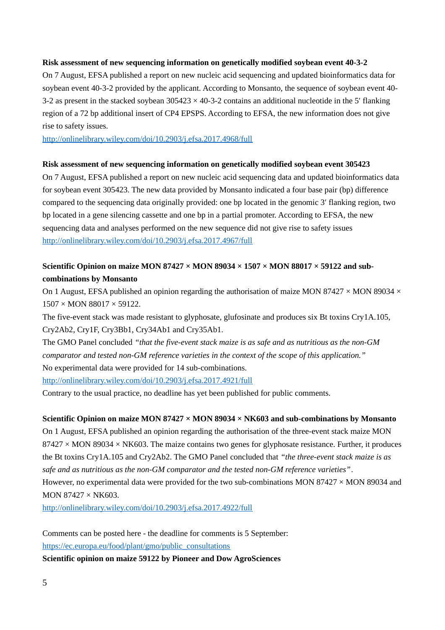#### **Risk assessment of new sequencing information on genetically modified soybean event 40-3-2**

On 7 August, EFSA published a report on new nucleic acid sequencing and updated bioinformatics data for soybean event 40-3-2 provided by the applicant. According to Monsanto, the sequence of soybean event 40- 3-2 as present in the stacked soybean  $305423 \times 40-3-2$  contains an additional nucleotide in the 5' flanking region of a 72 bp additional insert of CP4 EPSPS. According to EFSA, the new information does not give rise to safety issues.

<http://onlinelibrary.wiley.com/doi/10.2903/j.efsa.2017.4968/full>

#### **Risk assessment of new sequencing information on genetically modified soybean event 305423**

On 7 August, EFSA published a report on new nucleic acid sequencing data and updated bioinformatics data for soybean event 305423. The new data provided by Monsanto indicated a four base pair (bp) difference compared to the sequencing data originally provided: one bp located in the genomic 3′ flanking region, two bp located in a gene silencing cassette and one bp in a partial promoter. According to EFSA, the new sequencing data and analyses performed on the new sequence did not give rise to safety issues <http://onlinelibrary.wiley.com/doi/10.2903/j.efsa.2017.4967/full>

## **Scientific Opinion on maize MON 87427 × MON 89034 × 1507 × MON 88017 × 59122 and subcombinations by Monsanto**

On 1 August, EFSA published an opinion regarding the authorisation of maize MON 87427  $\times$  MON 89034  $\times$ 1507 × MON 88017 × 59122.

The five-event stack was made resistant to glyphosate, glufosinate and produces six Bt toxins Cry1A.105, Cry2Ab2, Cry1F, Cry3Bb1, Cry34Ab1 and Cry35Ab1.

The GMO Panel concluded *"that the five-event stack maize is as safe and as nutritious as the non-GM comparator and tested non-GM reference varieties in the context of the scope of this application."* No experimental data were provided for 14 sub-combinations.

<http://onlinelibrary.wiley.com/doi/10.2903/j.efsa.2017.4921/full>

Contrary to the usual practice, no deadline has yet been published for public comments.

## **Scientific Opinion on maize MON 87427 × MON 89034 × NK603 and sub-combinations by Monsanto**

On 1 August, EFSA published an opinion regarding the authorisation of the three-event stack maize MON 87427 × MON 89034 × NK603. The maize contains two genes for glyphosate resistance. Further, it produces the Bt toxins Cry1A.105 and Cry2Ab2. The GMO Panel concluded that *"the three-event stack maize is as safe and as nutritious as the non-GM comparator and the tested non-GM reference varieties"*.

However, no experimental data were provided for the two sub-combinations MON 87427 × MON 89034 and MON 87427 × NK603.

<http://onlinelibrary.wiley.com/doi/10.2903/j.efsa.2017.4922/full>

Comments can be posted here - the deadline for comments is 5 September: [https://ec.europa.eu/food/plant/gmo/public\\_consultations](https://ec.europa.eu/food/plant/gmo/public_consultations)

**Scientific opinion on maize 59122 by Pioneer and Dow AgroSciences**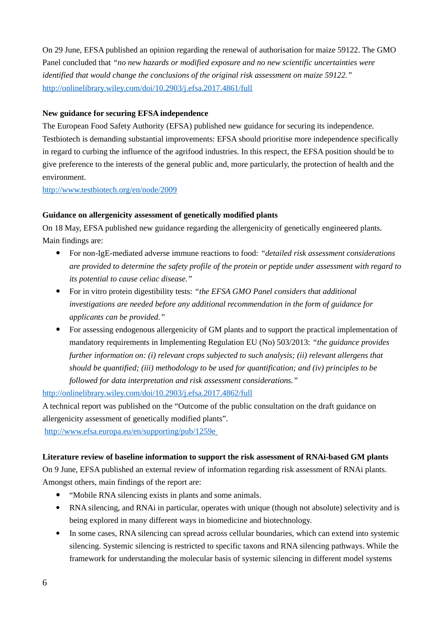On 29 June, EFSA published an opinion regarding the renewal of authorisation for maize 59122. The GMO Panel concluded that *"no new hazards or modified exposure and no new scientific uncertainties were identified that would change the conclusions of the original risk assessment on maize 59122."* <http://onlinelibrary.wiley.com/doi/10.2903/j.efsa.2017.4861/full>

## **New guidance for securing EFSA independence**

The European Food Safety Authority (EFSA) published new guidance for securing its independence. Testbiotech is demanding substantial improvements: EFSA should prioritise more independence specifically in regard to curbing the influence of the agrifood industries. In this respect, the EFSA position should be to give preference to the interests of the general public and, more particularly, the protection of health and the environment.

<http://www.testbiotech.org/en/node/2009>

## **Guidance on allergenicity assessment of genetically modified plants**

On 18 May, EFSA published new guidance regarding the allergenicity of genetically engineered plants. Main findings are:

- For non-IgE-mediated adverse immune reactions to food: *"detailed risk assessment considerations are provided to determine the safety profile of the protein or peptide under assessment with regard to its potential to cause celiac disease."*
- For in vitro protein digestibility tests: *"the EFSA GMO Panel considers that additional investigations are needed before any additional recommendation in the form of guidance for applicants can be provided."*
- For assessing endogenous allergenicity of GM plants and to support the practical implementation of mandatory requirements in Implementing Regulation EU (No) 503/2013: *"the guidance provides further information on: (i) relevant crops subjected to such analysis; (ii) relevant allergens that should be quantified; (iii) methodology to be used for quantification; and (iv) principles to be followed for data interpretation and risk assessment considerations."*

<http://onlinelibrary.wiley.com/doi/10.2903/j.efsa.2017.4862/full>

A technical report was published on the "Outcome of the public consultation on the draft guidance on allergenicity assessment of genetically modified plants".

<http://www.efsa.europa.eu/en/supporting/pub/1259e>

## **Literature review of baseline information to support the risk assessment of RNAi-based GM plants**

On 9 June, EFSA published an external review of information regarding risk assessment of RNAi plants. Amongst others, main findings of the report are:

- "Mobile RNA silencing exists in plants and some animals.
- RNA silencing, and RNAi in particular, operates with unique (though not absolute) selectivity and is being explored in many different ways in biomedicine and biotechnology.
- In some cases, RNA silencing can spread across cellular boundaries, which can extend into systemic silencing. Systemic silencing is restricted to specific taxons and RNA silencing pathways. While the framework for understanding the molecular basis of systemic silencing in different model systems